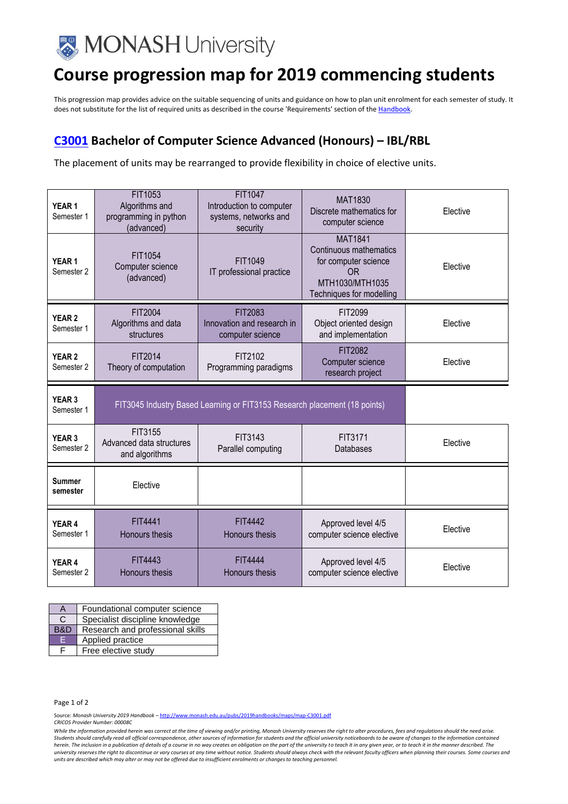

## **Course progression map for 2019 commencing students**

This progression map provides advice on the suitable sequencing of units and guidance on how to plan unit enrolment for each semester of study. It does not substitute for the list of required units as described in the course 'Requirements' section of th[e Handbook.](http://www.monash.edu.au/pubs/2019handbooks/)

## **[C3001](http://www.monash.edu.au/pubs/2018handbooks/courses/C3001.html) Bachelor of Computer Science Advanced (Honours) – IBL/RBL**

The placement of units may be rearranged to provide flexibility in choice of elective units.

| YEAR <sub>1</sub><br>Semester 1 | FIT1053<br>Algorithms and<br>programming in python<br>(advanced) | FIT1047<br>Introduction to computer<br>systems, networks and<br>security  | <b>MAT1830</b><br>Discrete mathematics for<br>computer science                                                                    | Elective |
|---------------------------------|------------------------------------------------------------------|---------------------------------------------------------------------------|-----------------------------------------------------------------------------------------------------------------------------------|----------|
| YEAR <sub>1</sub><br>Semester 2 | FIT1054<br>Computer science<br>(advanced)                        | FIT1049<br>IT professional practice                                       | <b>MAT1841</b><br>Continuous mathematics<br>for computer science<br>0 <sub>R</sub><br>MTH1030/MTH1035<br>Techniques for modelling | Elective |
| YEAR <sub>2</sub><br>Semester 1 | FIT2004<br>Algorithms and data<br>structures                     | FIT2083<br>Innovation and research in<br>computer science                 | FIT2099<br>Object oriented design<br>and implementation                                                                           | Elective |
| YEAR <sub>2</sub><br>Semester 2 | FIT2014<br>Theory of computation                                 | FIT2102<br>Programming paradigms                                          | FIT2082<br>Computer science<br>research project                                                                                   | Elective |
|                                 |                                                                  |                                                                           |                                                                                                                                   |          |
| YEAR <sub>3</sub><br>Semester 1 |                                                                  | FIT3045 Industry Based Learning or FIT3153 Research placement (18 points) |                                                                                                                                   |          |
| YEAR <sub>3</sub><br>Semester 2 | FIT3155<br>Advanced data structures<br>and algorithms            | FIT3143<br>Parallel computing                                             | FIT3171<br>Databases                                                                                                              | Elective |
| <b>Summer</b><br>semester       | Elective                                                         |                                                                           |                                                                                                                                   |          |
| YEAR 4<br>Semester 1            | FIT4441<br><b>Honours thesis</b>                                 | <b>FIT4442</b><br>Honours thesis                                          | Approved level 4/5<br>computer science elective                                                                                   | Elective |

| А   | Foundational computer science    |
|-----|----------------------------------|
| C   | Specialist discipline knowledge  |
| B&D | Research and professional skills |
| E   | Applied practice                 |
|     | Free elective study              |

Page 1 of 2

Source: *Monash University 2019 Handbook –* <http://www.monash.edu.au/pubs/2019handbooks/maps/map-C3001.pdf>

*CRICOS Provider Number: 00008C*

*While the information provided herein was correct at the time of viewing and/or printing, Monash University reserves the right to alter procedures, fees and regulations should the need arise.*  Students should carefully read all official correspondence, other sources of information for students and the official university noticeboards to be aware of changes to the information contained<br>herein. The inclusion in a *university reserves the right to discontinue or vary courses at any time without notice. Students should always check with the relevant faculty officers when planning their courses. Some courses and units are described which may alter or may not be offered due to insufficient enrolments or changes to teaching personnel.*